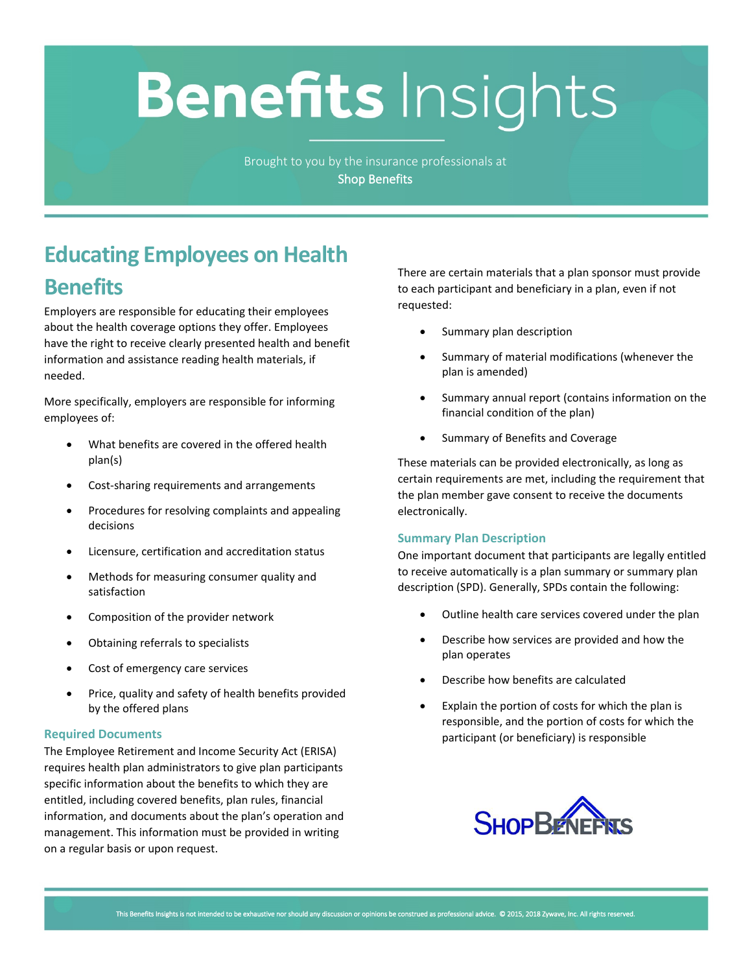# **Benefits Insights**

Brought to you by the insurance professionals at **Shop Benefits**

## **Educating Employees on Health Benefits**

Employers are responsible for educating their employees about the health coverage options they offer. Employees have the right to receive clearly presented health and benefit information and assistance reading health materials, if needed.

More specifically, employers are responsible for informing employees of:

- What benefits are covered in the offered health plan(s)
- Cost-sharing requirements and arrangements
- Procedures for resolving complaints and appealing decisions
- Licensure, certification and accreditation status
- Methods for measuring consumer quality and satisfaction
- Composition of the provider network
- Obtaining referrals to specialists
- Cost of emergency care services
- Price, quality and safety of health benefits provided by the offered plans

#### **Required Documents**

The Employee Retirement and Income Security Act (ERISA) requires health plan administrators to give plan participants specific information about the benefits to which they are entitled, including covered benefits, plan rules, financial information, and documents about the plan's operation and management. This information must be provided in writing on a regular basis or upon request.

There are certain materials that a plan sponsor must provide to each participant and beneficiary in a plan, even if not requested:

- Summary plan description
- Summary of material modifications (whenever the plan is amended)
- Summary annual report (contains information on the financial condition of the plan)
- Summary of Benefits and Coverage

These materials can be provided electronically, as long as certain requirements are met, including the requirement that the plan member gave consent to receive the documents electronically.

#### **Summary Plan Description**

One important document that participants are legally entitled to receive automatically is a plan summary or summary plan description (SPD). Generally, SPDs contain the following:

- Outline health care services covered under the plan
- Describe how services are provided and how the plan operates
- Describe how benefits are calculated
- Explain the portion of costs for which the plan is responsible, and the portion of costs for which the participant (or beneficiary) is responsible